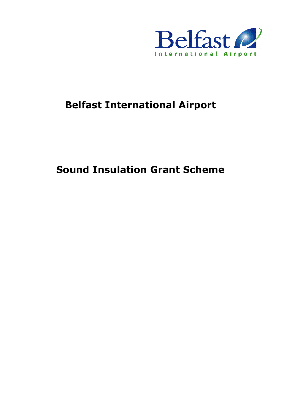

# **Belfast International Airport**

# **Sound Insulation Grant Scheme**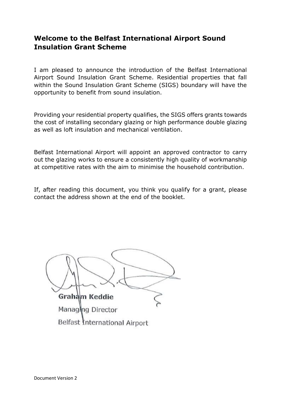# **Welcome to the Belfast International Airport Sound Insulation Grant Scheme**

I am pleased to announce the introduction of the Belfast International Airport Sound Insulation Grant Scheme. Residential properties that fall within the Sound Insulation Grant Scheme (SIGS) boundary will have the opportunity to benefit from sound insulation.

Providing your residential property qualifies, the SIGS offers grants towards the cost of installing secondary glazing or high performance double glazing as well as loft insulation and mechanical ventilation.

Belfast International Airport will appoint an approved contractor to carry out the glazing works to ensure a consistently high quality of workmanship at competitive rates with the aim to minimise the household contribution.

If, after reading this document, you think you qualify for a grant, please contact the address shown at the end of the booklet.

Graham Keddie Managing Director Belfast International Airport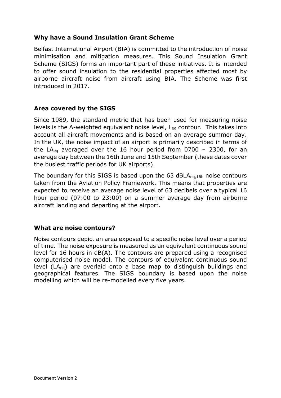# **Why have a Sound Insulation Grant Scheme**

Belfast International Airport (BIA) is committed to the introduction of noise minimisation and mitigation measures. This Sound Insulation Grant Scheme (SIGS) forms an important part of these initiatives. It is intended to offer sound insulation to the residential properties affected most by airborne aircraft noise from aircraft using BIA. The Scheme was first introduced in 2017.

### **Area covered by the SIGS**

Since 1989, the standard metric that has been used for measuring noise levels is the A-weighted equivalent noise level, Leq contour. This takes into account all aircraft movements and is based on an average summer day. In the UK, the noise impact of an airport is primarily described in terms of the LA<sub>eq</sub> averaged over the 16 hour period from  $0700 - 2300$ , for an average day between the 16th June and 15th September (these dates cover the busiest traffic periods for UK airports).

The boundary for this SIGS is based upon the 63 dBLA $_{eq,16h}$  noise contours taken from the Aviation Policy Framework. This means that properties are expected to receive an average noise level of 63 decibels over a typical 16 hour period (07:00 to 23:00) on a summer average day from airborne aircraft landing and departing at the airport.

#### **What are noise contours?**

Noise contours depict an area exposed to a specific noise level over a period of time. The noise exposure is measured as an equivalent continuous sound level for 16 hours in dB(A). The contours are prepared using a recognised computerised noise model. The contours of equivalent continuous sound level (LAeq) are overlaid onto a base map to distinguish buildings and geographical features. The SIGS boundary is based upon the noise modelling which will be re-modelled every five years.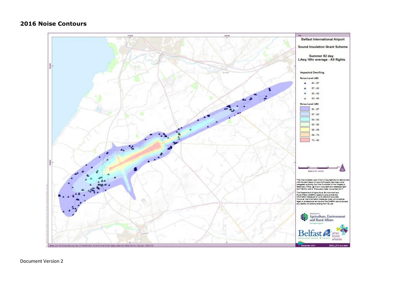#### **2016 Noise Contours**

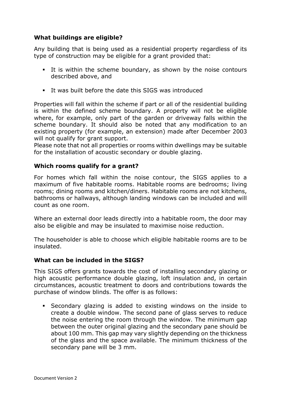# **What buildings are eligible?**

Any building that is being used as a residential property regardless of its type of construction may be eligible for a grant provided that:

- It is within the scheme boundary, as shown by the noise contours described above, and
- It was built before the date this SIGS was introduced

Properties will fall within the scheme if part or all of the residential building is within the defined scheme boundary. A property will not be eligible where, for example, only part of the garden or driveway falls within the scheme boundary. It should also be noted that any modification to an existing property (for example, an extension) made after December 2003 will not qualify for grant support.

Please note that not all properties or rooms within dwellings may be suitable for the installation of acoustic secondary or double glazing.

#### **Which rooms qualify for a grant?**

For homes which fall within the noise contour, the SIGS applies to a maximum of five habitable rooms. Habitable rooms are bedrooms; living rooms; dining rooms and kitchen/diners. Habitable rooms are not kitchens, bathrooms or hallways, although landing windows can be included and will count as one room.

Where an external door leads directly into a habitable room, the door may also be eligible and may be insulated to maximise noise reduction.

The householder is able to choose which eligible habitable rooms are to be insulated.

#### **What can be included in the SIGS?**

This SIGS offers grants towards the cost of installing secondary glazing or high acoustic performance double glazing, loft insulation and, in certain circumstances, acoustic treatment to doors and contributions towards the purchase of window blinds. The offer is as follows:

▪ Secondary glazing is added to existing windows on the inside to create a double window. The second pane of glass serves to reduce the noise entering the room through the window. The minimum gap between the outer original glazing and the secondary pane should be about 100 mm. This gap may vary slightly depending on the thickness of the glass and the space available. The minimum thickness of the secondary pane will be 3 mm.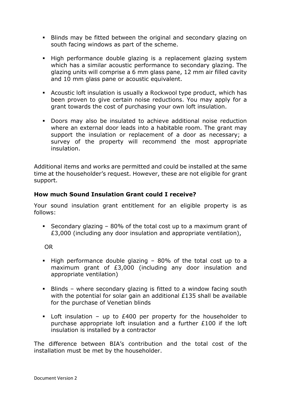- **EXECT** Blinds may be fitted between the original and secondary glazing on south facing windows as part of the scheme.
- **EXT** High performance double glazing is a replacement glazing system which has a similar acoustic performance to secondary glazing. The glazing units will comprise a 6 mm glass pane, 12 mm air filled cavity and 10 mm glass pane or acoustic equivalent.
- Acoustic loft insulation is usually a Rockwool type product, which has been proven to give certain noise reductions. You may apply for a grant towards the cost of purchasing your own loft insulation.
- Doors may also be insulated to achieve additional noise reduction where an external door leads into a habitable room. The grant may support the insulation or replacement of a door as necessary; a survey of the property will recommend the most appropriate insulation.

Additional items and works are permitted and could be installed at the same time at the householder's request. However, these are not eligible for grant support.

# **How much Sound Insulation Grant could I receive?**

Your sound insulation grant entitlement for an eligible property is as follows:

**EXECONDERI** Secondary glazing –  $80\%$  of the total cost up to a maximum grant of £3,000 (including any door insulation and appropriate ventilation),

OR

- $\blacksquare$  High performance double glazing 80% of the total cost up to a maximum grant of £3,000 (including any door insulation and appropriate ventilation)
- Blinds where secondary glazing is fitted to a window facing south with the potential for solar gain an additional £135 shall be available for the purchase of Venetian blinds
- **•** Loft insulation up to  $£400$  per property for the householder to purchase appropriate loft insulation and a further £100 if the loft insulation is installed by a contractor

The difference between BIA's contribution and the total cost of the installation must be met by the householder.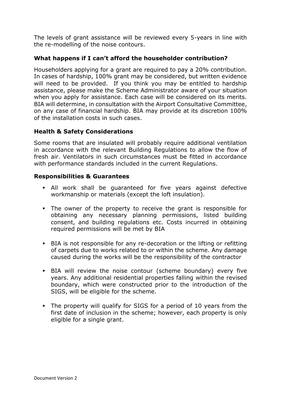The levels of grant assistance will be reviewed every 5-years in line with the re-modelling of the noise contours.

# **What happens if I can't afford the householder contribution?**

Householders applying for a grant are required to pay a 20% contribution. In cases of hardship, 100% grant may be considered, but written evidence will need to be provided. If you think you may be entitled to hardship assistance, please make the Scheme Administrator aware of your situation when you apply for assistance. Each case will be considered on its merits. BIA will determine, in consultation with the Airport Consultative Committee, on any case of financial hardship. BIA may provide at its discretion 100% of the installation costs in such cases.

### **Health & Safety Considerations**

Some rooms that are insulated will probably require additional ventilation in accordance with the relevant Building Regulations to allow the flow of fresh air. Ventilators in such circumstances must be fitted in accordance with performance standards included in the current Regulations.

#### **Responsibilities & Guarantees**

- **.** All work shall be quaranteed for five years against defective workmanship or materials (except the loft insulation).
- The owner of the property to receive the grant is responsible for obtaining any necessary planning permissions, listed building consent, and building regulations etc. Costs incurred in obtaining required permissions will be met by BIA
- BIA is not responsible for any re-decoration or the lifting or refitting of carpets due to works related to or within the scheme. Any damage caused during the works will be the responsibility of the contractor
- **EXECT A** will review the noise contour (scheme boundary) every five years. Any additional residential properties falling within the revised boundary, which were constructed prior to the introduction of the SIGS, will be eligible for the scheme.
- The property will qualify for SIGS for a period of 10 years from the first date of inclusion in the scheme; however, each property is only eligible for a single grant.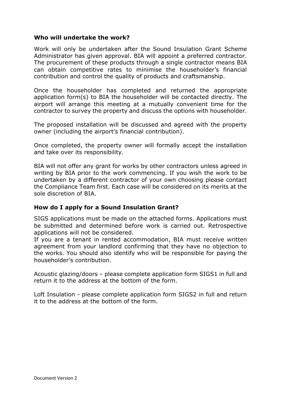#### **Who will undertake the work?**

Work will only be undertaken after the Sound Insulation Grant Scheme Administrator has given approval. BIA will appoint a preferred contractor. The procurement of these products through a single contractor means BIA can obtain competitive rates to minimise the householder's financial contribution and control the quality of products and craftsmanship.

Once the householder has completed and returned the appropriate application form(s) to BIA the householder will be contacted directly. The airport will arrange this meeting at a mutually convenient time for the contractor to survey the property and discuss the options with householder.

The proposed installation will be discussed and agreed with the property owner (including the airport's financial contribution).

Once completed, the property owner will formally accept the installation and take over its responsibility.

BIA will not offer any grant for works by other contractors unless agreed in writing by BIA prior to the work commencing. If you wish the work to be undertaken by a different contractor of your own choosing please contact the Compliance Team first. Each case will be considered on its merits at the sole discretion of BIA.

#### **How do I apply for a Sound Insulation Grant?**

SIGS applications must be made on the attached forms. Applications must be submitted and determined before work is carried out. Retrospective applications will not be considered.

If you are a tenant in rented accommodation, BIA must receive written agreement from your landlord confirming that they have no objection to the works. You should also identify who will be responsible for paying the householder's contribution.

Acoustic glazing/doors – please complete application form SIGS1 in full and return it to the address at the bottom of the form.

Loft Insulation - please complete application form SIGS2 in full and return it to the address at the bottom of the form.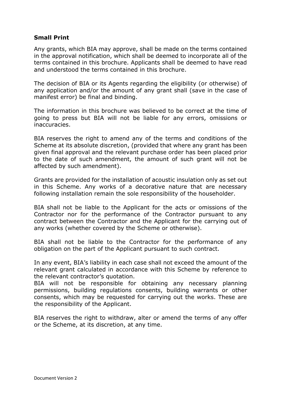### **Small Print**

Any grants, which BIA may approve, shall be made on the terms contained in the approval notification, which shall be deemed to incorporate all of the terms contained in this brochure. Applicants shall be deemed to have read and understood the terms contained in this brochure.

The decision of BIA or its Agents regarding the eligibility (or otherwise) of any application and/or the amount of any grant shall (save in the case of manifest error) be final and binding.

The information in this brochure was believed to be correct at the time of going to press but BIA will not be liable for any errors, omissions or inaccuracies.

BIA reserves the right to amend any of the terms and conditions of the Scheme at its absolute discretion, (provided that where any grant has been given final approval and the relevant purchase order has been placed prior to the date of such amendment, the amount of such grant will not be affected by such amendment).

Grants are provided for the installation of acoustic insulation only as set out in this Scheme. Any works of a decorative nature that are necessary following installation remain the sole responsibility of the householder.

BIA shall not be liable to the Applicant for the acts or omissions of the Contractor nor for the performance of the Contractor pursuant to any contract between the Contractor and the Applicant for the carrying out of any works (whether covered by the Scheme or otherwise).

BIA shall not be liable to the Contractor for the performance of any obligation on the part of the Applicant pursuant to such contract.

In any event, BIA's liability in each case shall not exceed the amount of the relevant grant calculated in accordance with this Scheme by reference to the relevant contractor's quotation.

BIA will not be responsible for obtaining any necessary planning permissions, building regulations consents, building warrants or other consents, which may be requested for carrying out the works. These are the responsibility of the Applicant.

BIA reserves the right to withdraw, alter or amend the terms of any offer or the Scheme, at its discretion, at any time.